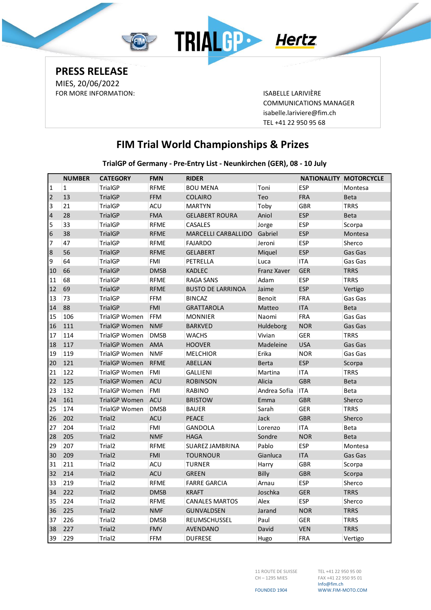

**PRESS RELEASE** MIES, 20/06/2022 FOR MORE INFORMATION: ISABELLE LARIVIÈRE

COMMUNICATIONS MANAGER [isabelle.lariviere@fim.ch](mailto:isabelle.lariviere@fim.ch) TEL +41 22 950 95 68

## **FIM Trial World Championships & Prizes**

**TrialGP of Germany - Pre-Entry List - Neunkirchen (GER), 08 - 10 July**

|                         | <b>NUMBER</b> | <b>CATEGORY</b>      | <b>FMN</b>  | <b>RIDER</b>               |              |            | NATIONALITY MOTORCYCLE |
|-------------------------|---------------|----------------------|-------------|----------------------------|--------------|------------|------------------------|
| $\mathbf{1}$            | $\mathbf{1}$  | <b>TrialGP</b>       | <b>RFME</b> | <b>BOU MENA</b>            | Toni         | <b>ESP</b> | Montesa                |
| $\overline{2}$          | 13            | <b>TrialGP</b>       | <b>FFM</b>  | <b>COLAIRO</b>             | Teo          | <b>FRA</b> | <b>Beta</b>            |
| 3                       | 21            | <b>TrialGP</b>       | <b>ACU</b>  | <b>MARTYN</b>              | Toby         | <b>GBR</b> | <b>TRRS</b>            |
| $\overline{\mathbf{4}}$ | 28            | <b>TrialGP</b>       | <b>FMA</b>  | <b>GELABERT ROURA</b>      | Aniol        | <b>ESP</b> | <b>Beta</b>            |
| 5                       | 33            | <b>TrialGP</b>       | <b>RFME</b> | <b>CASALES</b>             | Jorge        | <b>ESP</b> | Scorpa                 |
| 6                       | 38            | <b>TrialGP</b>       | <b>RFME</b> | <b>MARCELLI CARBALLIDO</b> | Gabriel      | <b>ESP</b> | Montesa                |
| 7                       | 47            | <b>TrialGP</b>       | <b>RFME</b> | <b>FAJARDO</b>             | Jeroni       | <b>ESP</b> | Sherco                 |
| $\bf 8$                 | 56            | <b>TrialGP</b>       | <b>RFME</b> | <b>GELABERT</b>            | Miquel       | <b>ESP</b> | Gas Gas                |
| 9                       | 64            | <b>TrialGP</b>       | <b>FMI</b>  | PETRELLA                   | Luca         | <b>ITA</b> | Gas Gas                |
| 10                      | 66            | <b>TrialGP</b>       | <b>DMSB</b> | <b>KADLEC</b>              | Franz Xaver  | <b>GER</b> | <b>TRRS</b>            |
| 11                      | 68            | <b>TrialGP</b>       | <b>RFME</b> | <b>RAGA SANS</b>           | Adam         | <b>ESP</b> | <b>TRRS</b>            |
| 12                      | 69            | <b>TrialGP</b>       | <b>RFME</b> | <b>BUSTO DE LARRINOA</b>   | Jaime        | <b>ESP</b> | Vertigo                |
| 13                      | 73            | TrialGP              | <b>FFM</b>  | <b>BINCAZ</b>              | Benoit       | <b>FRA</b> | Gas Gas                |
| 14                      | 88            | <b>TrialGP</b>       | FMI         | <b>GRATTAROLA</b>          | Matteo       | <b>ITA</b> | <b>Beta</b>            |
| 15                      | 106           | <b>TrialGP Women</b> | <b>FFM</b>  | <b>MONNIER</b>             | Naomi        | <b>FRA</b> | Gas Gas                |
| 16                      | 111           | <b>TrialGP Women</b> | <b>NMF</b>  | <b>BARKVED</b>             | Huldeborg    | <b>NOR</b> | Gas Gas                |
| 17                      | 114           | <b>TrialGP Women</b> | <b>DMSB</b> | <b>WACHS</b>               | Vivian       | <b>GER</b> | <b>TRRS</b>            |
| 18                      | 117           | <b>TrialGP Women</b> | <b>AMA</b>  | <b>HOOVER</b>              | Madeleine    | <b>USA</b> | Gas Gas                |
| 19                      | 119           | <b>TrialGP Women</b> | <b>NMF</b>  | <b>MELCHIOR</b>            | Erika        | <b>NOR</b> | Gas Gas                |
| 20                      | 121           | <b>TrialGP Women</b> | <b>RFME</b> | ABELLAN                    | <b>Berta</b> | <b>ESP</b> | Scorpa                 |
| 21                      | 122           | <b>TrialGP Women</b> | <b>FMI</b>  | <b>GALLIENI</b>            | Martina      | <b>ITA</b> | <b>TRRS</b>            |
| 22                      | 125           | <b>TrialGP Women</b> | <b>ACU</b>  | <b>ROBINSON</b>            | Alicia       | <b>GBR</b> | <b>Beta</b>            |
| 23                      | 132           | <b>TrialGP Women</b> | <b>FMI</b>  | <b>RABINO</b>              | Andrea Sofia | <b>ITA</b> | <b>Beta</b>            |
| 24                      | 161           | <b>TrialGP Women</b> | <b>ACU</b>  | <b>BRISTOW</b>             | Emma         | <b>GBR</b> | Sherco                 |
| 25                      | 174           | <b>TrialGP Women</b> | <b>DMSB</b> | <b>BAUER</b>               | Sarah        | <b>GER</b> | <b>TRRS</b>            |
| 26                      | 202           | Trial <sub>2</sub>   | <b>ACU</b>  | <b>PEACE</b>               | Jack         | <b>GBR</b> | Sherco                 |
| 27                      | 204           | Trial <sub>2</sub>   | <b>FMI</b>  | GANDOLA                    | Lorenzo      | <b>ITA</b> | <b>Beta</b>            |
| 28                      | 205           | Trial <sub>2</sub>   | <b>NMF</b>  | <b>HAGA</b>                | Sondre       | <b>NOR</b> | <b>Beta</b>            |
| 29                      | 207           | Trial <sub>2</sub>   | <b>RFME</b> | SUAREZ JAMBRINA            | Pablo        | <b>ESP</b> | Montesa                |
| 30                      | 209           | Trial <sub>2</sub>   | <b>FMI</b>  | <b>TOURNOUR</b>            | Gianluca     | <b>ITA</b> | Gas Gas                |
| 31                      | 211           | Trial <sub>2</sub>   | <b>ACU</b>  | <b>TURNER</b>              | Harry        | <b>GBR</b> | Scorpa                 |
| 32                      | 214           | Trial <sub>2</sub>   | <b>ACU</b>  | <b>GREEN</b>               | Billy        | <b>GBR</b> | Scorpa                 |
| 33                      | 219           | Trial <sub>2</sub>   | <b>RFME</b> | <b>FARRE GARCIA</b>        | Arnau        | <b>ESP</b> | Sherco                 |
| 34                      | 222           | Trial <sub>2</sub>   | <b>DMSB</b> | <b>KRAFT</b>               | Joschka      | <b>GER</b> | <b>TRRS</b>            |
| 35                      | 224           | Trial <sub>2</sub>   | <b>RFME</b> | <b>CANALES MARTOS</b>      | Alex         | <b>ESP</b> | Sherco                 |
| 36                      | 225           | Trial <sub>2</sub>   | <b>NMF</b>  | <b>GUNVALDSEN</b>          | Jarand       | <b>NOR</b> | <b>TRRS</b>            |
| 37                      | 226           | Trial <sub>2</sub>   | <b>DMSB</b> | REUMSCHUSSEL               | Paul         | <b>GER</b> | <b>TRRS</b>            |
| 38                      | 227           | Trial <sub>2</sub>   | <b>FMV</b>  | <b>AVENDANO</b>            | David        | <b>VEN</b> | <b>TRRS</b>            |
| 39                      | 229           | Trial <sub>2</sub>   | FFM         | <b>DUFRESE</b>             | Hugo         | <b>FRA</b> | Vertigo                |

11 ROUTE DE SUISSE CH – 1295 MIES

TEL +41 22 950 95 00 FAX +41 22 950 95 01 Info@fim.ch WWW.FIM-MOTO.COM

FOUNDED 1904